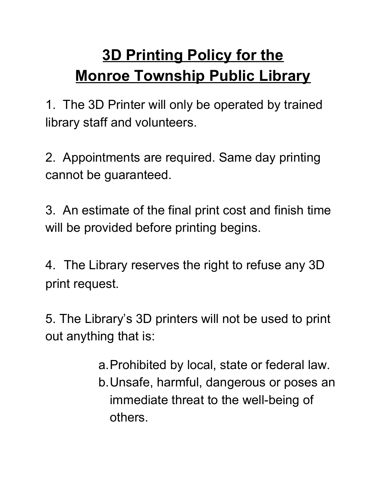## **3D Printing Policy for the Monroe Township Public Library**

1. The 3D Printer will only be operated by trained library staff and volunteers.

2. Appointments are required. Same day printing cannot be guaranteed.

3. An estimate of the final print cost and finish time will be provided before printing begins.

4. The Library reserves the right to refuse any 3D print request.

5. The Library's 3D printers will not be used to print out anything that is:

> a.Prohibited by local, state or federal law. b.Unsafe, harmful, dangerous or poses an immediate threat to the well-being of others.